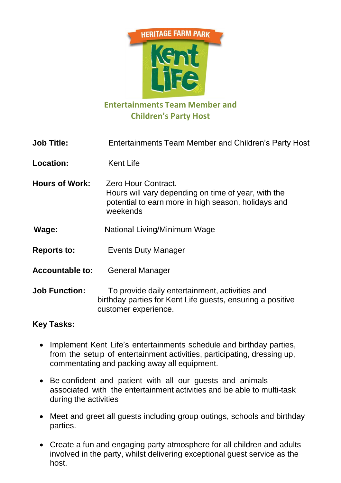

## **Entertainments Team Member and Children's Party Host**

| <b>Job Title:</b>      | <b>Entertainments Team Member and Children's Party Host</b>                                                                                   |
|------------------------|-----------------------------------------------------------------------------------------------------------------------------------------------|
| Location:              | <b>Kent Life</b>                                                                                                                              |
| <b>Hours of Work:</b>  | Zero Hour Contract.<br>Hours will vary depending on time of year, with the<br>potential to earn more in high season, holidays and<br>weekends |
| Wage:                  | National Living/Minimum Wage                                                                                                                  |
| <b>Reports to:</b>     | <b>Events Duty Manager</b>                                                                                                                    |
| <b>Accountable to:</b> | <b>General Manager</b>                                                                                                                        |

**Job Function:** To provide daily entertainment, activities and birthday parties for Kent Life guests, ensuring a positive customer experience.

## **Key Tasks:**

- Implement Kent Life's entertainments schedule and birthday parties, from the setup of entertainment activities, participating, dressing up, commentating and packing away all equipment.
- Be confident and patient with all our guests and animals associated with the entertainment activities and be able to multi-task during the activities
- Meet and greet all guests including group outings, schools and birthday parties.
- Create a fun and engaging party atmosphere for all children and adults involved in the party, whilst delivering exceptional guest service as the host.